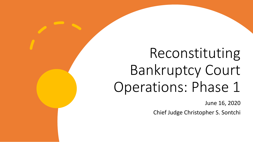# Reconstituting Bankruptcy Court Operations: Phase 1

June 16, 2020

Chief Judge Christopher S. Sontchi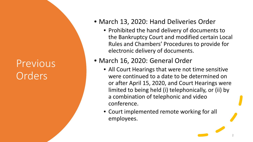# Previous **Orders**

- March 13, 2020: Hand Deliveries Order
	- Prohibited the hand delivery of documents to the Bankruptcy Court and modified certain Local Rules and Chambers' Procedures to provide for electronic delivery of documents.
- March 16, 2020: General Order
	- All Court Hearings that were not time sensitive were continued to a date to be determined on or after April 15, 2020, and Court Hearings were limited to being held (i) telephonically, or (ii) by a combination of telephonic and video conference.
	- Court implemented remote working for all employees.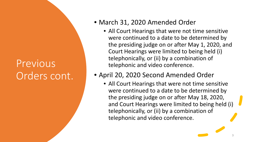# Previous Orders cont.

- March 31, 2020 Amended Order
	- All Court Hearings that were not time sensitive were continued to a date to be determined by the presiding judge on or after May 1, 2020, and Court Hearings were limited to being held (i) telephonically, or (ii) by a combination of telephonic and video conference.

#### • April 20, 2020 Second Amended Order

• All Court Hearings that were not time sensitive were continued to a date to be determined by the presiding judge on or after May 18, 2020, and Court Hearings were limited to being held (i) telephonically, or (ii) by a combination of telephonic and video conference.

3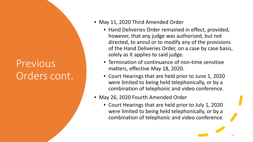# Previous Orders cont.

- May 11, 2020 Third Amended Order
	- Hand Deliveries Order remained in effect, provided, however, that any judge was authorized, but not directed, to annul or to modify any of the provisions of the Hand Deliveries Order, on a case by case basis, solely as it applies to said judge.
	- Termination of continuance of non-time sensitive matters, effective May 18, 2020.
	- Court Hearings that are held prior to June 1, 2020 were limited to being held telephonically, or by a combination of telephonic and video conference.
- May 26, 2020 Fourth Amended Order
	- Court Hearings that are held prior to July 1, 2020 were limited to being held telephonically, or by a combination of telephonic and video conference.

4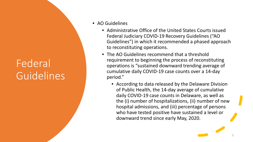# Federal Guidelines

- AO Guidelines
	- Administrative Office of the United States Courts issued Federal Judiciary COVID-19 Recovery Guidelines ("AO Guidelines") in which it recommended a phased approach to reconstituting operations.
	- The AO Guidelines recommend that a threshold requirement to beginning the process of reconstituting operations is "sustained downward trending average of cumulative daily COVID-19 case counts over a 14-day period."
		- According to data released by the Delaware Division of Public Health, the 14-day average of cumulative daily COVID-19 case counts in Delaware, as well as the (i) number of hospitalizations, (ii) number of new hospital admissions, and (iii) percentage of persons who have tested positive have sustained a level or downward trend since early May, 2020.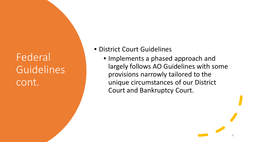# Federal Guidelines cont.

- District Court Guidelines
	- Implements a phased approach and largely follows AO Guidelines with some provisions narrowly tailored to the unique circumstances of our District Court and Bankruptcy Court.

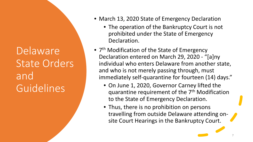Delaware State Orders and Guidelines

- March 13, 2020 State of Emergency Declaration
	- The operation of the Bankruptcy Court is not prohibited under the State of Emergency Declaration.
- 7<sup>th</sup> Modification of the State of Emergency Declaration entered on March 29, 2020 - "[a]ny individual who enters Delaware from another state, and who is not merely passing through, must immediately self-quarantine for fourteen (14) days."
	- On June 1, 2020, Governor Carney lifted the quarantine requirement of the 7<sup>th</sup> Modification to the State of Emergency Declaration.
	- Thus, there is no prohibition on persons travelling from outside Delaware attending onsite Court Hearings in the Bankruptcy Court.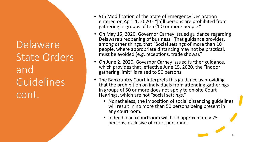**Delaware** State Orders and Guidelines cont.

- 9th Modification of the State of Emergency Declaration entered on April 1, 2020 - "[a]ll persons are prohibited from gathering in groups of ten (10) or more people."
- On May 15, 2020, Governor Carney issued guidance regarding Delaware's reopening of business. That guidance provides, among other things, that "Social settings of more than 10 people, where appropriate distancing may not be practical, must be avoided (e.g. receptions, trade shows)."
- On June 2, 2020, Governor Carney issued further guidance, which provides that, effective June 15, 2020, the "indoor gathering limit" is raised to 50 persons.
- The Bankruptcy Court interprets this guidance as providing that the prohibition on individuals from attending gatherings in groups of 50 or more does not apply to on-site Court Hearings, which are not "social settings."
	- Nonetheless, the imposition of social distancing guidelines will result in no more than 50 persons being present in any courtroom.
	- Indeed, each courtroom will hold approximately 25 persons, exclusive of court personnel.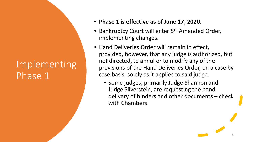#### Implementing Phase 1

- **Phase 1 is effective as of June 17, 2020.**
- Bankruptcy Court will enter 5<sup>th</sup> Amended Order, implementing changes.
- Hand Deliveries Order will remain in effect, provided, however, that any judge is authorized, but not directed, to annul or to modify any of the provisions of the Hand Deliveries Order, on a case by case basis, solely as it applies to said judge.
	- Some judges, primarily Judge Shannon and Judge Silverstein, are requesting the hand delivery of binders and other documents – check with Chambers.

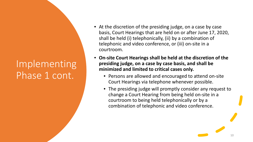#### Implementing Phase 1 cont.

- At the discretion of the presiding judge, on a case by case basis, Court Hearings that are held on or after June 17, 2020, shall be held (i) telephonically, (ii) by a combination of telephonic and video conference, or (iii) on-site in a courtroom.
- **On-site Court Hearings shall be held at the discretion of the presiding judge, on a case by case basis, and shall be minimized and limited to critical cases only.** 
	- Persons are allowed and encouraged to attend on-site Court Hearings via telephone whenever possible.
	- The presiding judge will promptly consider any request to change a Court Hearing from being held on-site in a courtroom to being held telephonically or by a combination of telephonic and video conference.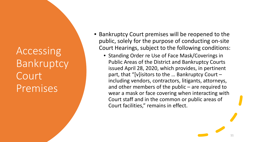Accessing Bankruptcy **Court** Premises

- Bankruptcy Court premises will be reopened to the public, solely for the purpose of conducting on-site Court Hearings, subject to the following conditions:
	- Standing Order re Use of Face Mask/Coverings in Public Areas of the District and Bankruptcy Courts issued April 28, 2020, which provides, in pertinent part, that "[v]isitors to the … Bankruptcy Court – including vendors, contractors, litigants, attorneys, and other members of the public – are required to wear a mask or face covering when interacting with Court staff and in the common or public areas of Court facilities," remains in effect.

11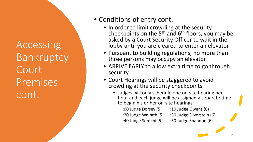Accessing Bankruptcy Court Premises cont.

#### • Conditions of entry cont.

- In order to limit crowding at the security checkpoints on the  $5<sup>th</sup>$  and  $6<sup>th</sup>$  floors, you may be asked by a Court Security Officer to wait in the lobby until you are cleared to enter an elevator.
- Pursuant to building regulations, no more than three persons may occupy an elevator.
- ARRIVE EARLY to allow extra time to go through security.
- Court Hearings will be staggered to avoid crowding at the security checkpoints.
	- Judges will only schedule one on-site hearing per hour and each judge will be assigned a separate time to begin his or her on-site hearings:
		- $:00$  Judge Dorsey  $(5)$   $:10$  Judge Owens  $(6)$
		- :20 Judge Walrath (5) :30 Judge Silverstein (6)
		- :40 Judge Sontchi  $(5)$  :50 Judge Shannon  $(6)$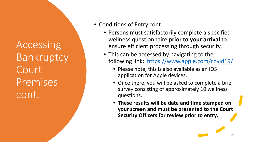Accessing Bankruptcy Court Premises cont.

- Conditions of Entry cont.
	- Persons must satisfactorily complete a specified wellness questionnaire **prior to your arrival** to ensure efficient processing through security.
	- This can be accessed by navigating to the following link: <https://www.apple.com/covid19/>
		- Please note, this is also available as an IOS application for Apple devices.
		- Once there, you will be asked to complete a brief survey consisting of approximately 10 wellness questions.
		- **These results will be date and time stamped on your screen and must be presented to the Court Security Officers for review prior to entry.**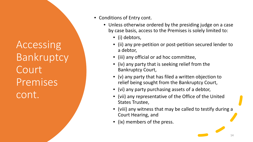Accessing Bankruptcy **Court** Premises cont.

- Conditions of Entry cont.
	- Unless otherwise ordered by the presiding judge on a case by case basis, access to the Premises is solely limited to:
		- (i) debtors,
		- (ii) any pre-petition or post-petition secured lender to a debtor,
		- (iii) any official or ad hoc committee,
		- (iv) any party that is seeking relief from the Bankruptcy Court,
		- (v) any party that has filed a written objection to relief being sought from the Bankruptcy Court,
		- (vi) any party purchasing assets of a debtor,
		- (vii) any representative of the Office of the United States Trustee,
		- (viii) any witness that may be called to testify during a Court Hearing, and
		- (ix) members of the press.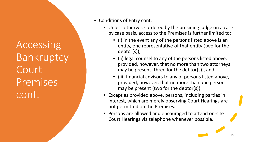Accessing Bankruptcy Court Premises cont.

- Conditions of Entry cont.
	- Unless otherwise ordered by the presiding judge on a case by case basis, access to the Premises is further limited to:
		- (i) in the event any of the persons listed above is an entity, one representative of that entity (two for the debtor(s)),
		- (ii) legal counsel to any of the persons listed above, provided, however, that no more than two attorneys may be present (three for the debtor(s)), and
		- (iii) financial advisors to any of persons listed above, provided, however, that no more than one person may be present (two for the debtor(s)).
	- Except as provided above, persons, including parties in interest, which are merely observing Court Hearings are not permitted on the Premises.
	- Persons are allowed and encouraged to attend on-site Court Hearings via telephone whenever possible.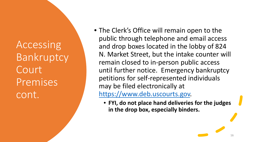Accessing Bankruptcy **Court** Premises cont.

- The Clerk's Office will remain open to the public through telephone and email access and drop boxes located in the lobby of 824 N. Market Street, but the intake counter will remain closed to in-person public access until further notice. Emergency bankruptcy petitions for self-represented individuals may be filed electronically at [https://www.deb.uscourts.gov.](https://www.deb.uscourts.gov/)
	- **FYI, do not place hand deliveries for the judges in the drop box, especially binders.**

16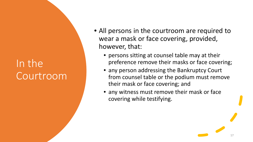# In the Courtroom

- All persons in the courtroom are required to wear a mask or face covering, provided, however, that:
	- persons sitting at counsel table may at their preference remove their masks or face covering;
	- any person addressing the Bankruptcy Court from counsel table or the podium must remove their mask or face covering; and
	- any witness must remove their mask or face covering while testifying.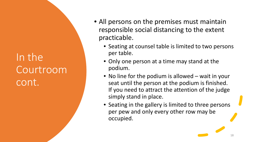### In the Courtroom cont.

- All persons on the premises must maintain responsible social distancing to the extent practicable.
	- Seating at counsel table is limited to two persons per table.
	- Only one person at a time may stand at the podium.
	- No line for the podium is allowed wait in your seat until the person at the podium is finished. If you need to attract the attention of the judge simply stand in place.
	- Seating in the gallery is limited to three persons per pew and only every other row may be occupied.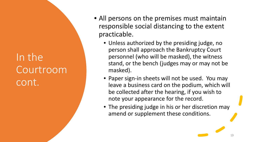### In the Courtroom cont.

- All persons on the premises must maintain responsible social distancing to the extent practicable.
	- Unless authorized by the presiding judge, no person shall approach the Bankruptcy Court personnel (who will be masked), the witness stand, or the bench (judges may or may not be masked).
	- Paper sign-in sheets will not be used. You may leave a business card on the podium, which will be collected after the hearing, if you wish to note your appearance for the record.
	- The presiding judge in his or her discretion may amend or supplement these conditions.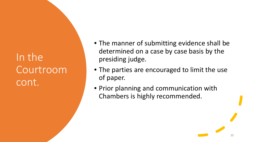In the Courtroom cont.

- The manner of submitting evidence shall be determined on a case by case basis by the presiding judge.
- The parties are encouraged to limit the use of paper.
- Prior planning and communication with Chambers is highly recommended.

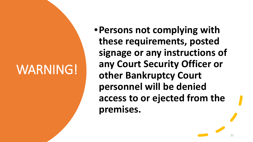# WARNING!

•**Persons not complying with these requirements, posted signage or any instructions of any Court Security Officer or other Bankruptcy Court personnel will be denied access to or ejected from the premises.**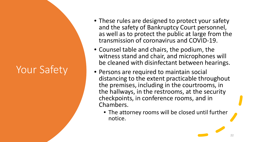### Your Safety

- These rules are designed to protect your safety and the safety of Bankruptcy Court personnel, as well as to protect the public at large from the transmission of coronavirus and COVID-19.
- Counsel table and chairs, the podium, the witness stand and chair, and microphones will be cleaned with disinfectant between hearings.
- Persons are required to maintain social distancing to the extent practicable throughout the premises, including in the courtrooms, in the hallways, in the restrooms, at the security checkpoints, in conference rooms, and in Chambers.
	- The attorney rooms will be closed until further notice.